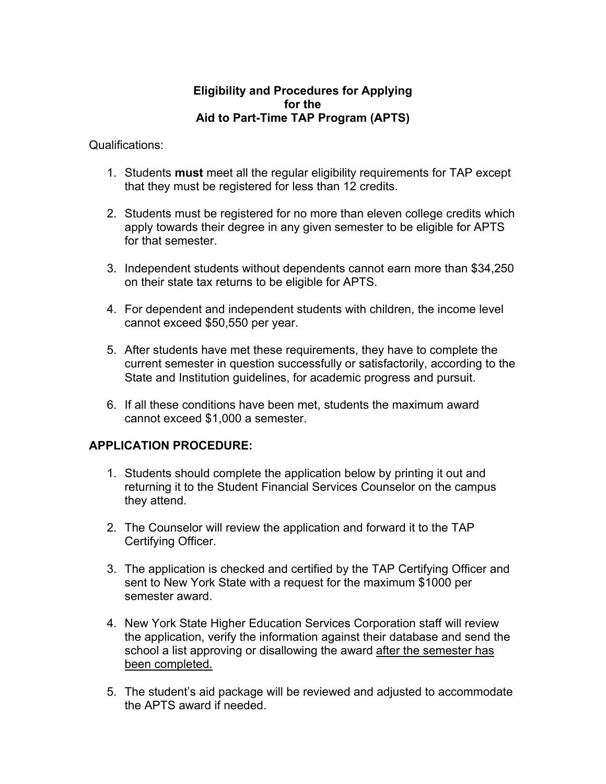## **Eligibility and Procedures for Applying for the Aid to Part-Time TAP Program (APTS)**

Qualifications:

- 1. Students **must** meet all the regular eligibility requirements for TAP except that they must be registered for less than 12 credits.
- 2. Students must be registered for no more than eleven college credits which apply towards their degree in any given semester to be eligible for APTS for that semester.
- 3. Independent students without dependents cannot earn more than \$34,250 on their state tax returns to be eligible for APTS.
- 4. For dependent and independent students with children, the income level cannot exceed \$50,550 per year.
- 5. After students have met these requirements, they have to complete the current semester in question successfully or satisfactorily, according to the State and Institution guidelines, for academic progress and pursuit.
- 6. If all these conditions have been met, students the maximum award cannot exceed \$1,000 a semester.

## **APPLICATION PROCEDURE:**

- 1. Students should complete the application below by printing it out and returning it to the Student Financial Services Counselor on the campus they attend.
- 2. The Counselor will review the application and forward it to the TAP Certifying Officer.
- 3. The application is checked and certified by the TAP Certifying Officer and sent to New York State with a request for the maximum \$1000 per semester award.
- 4. New York State Higher Education Services Corporation staff will review the application, verify the information against their database and send the school a list approving or disallowing the award after the semester has been completed.
- 5. The student's aid package will be reviewed and adjusted to accommodate the APTS award if needed.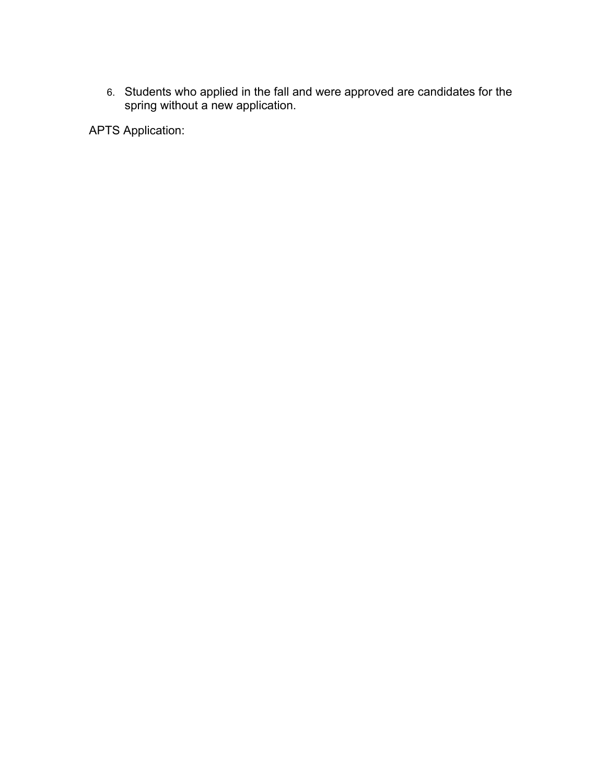6. Students who applied in the fall and were approved are candidates for the spring without a new application.

APTS Application: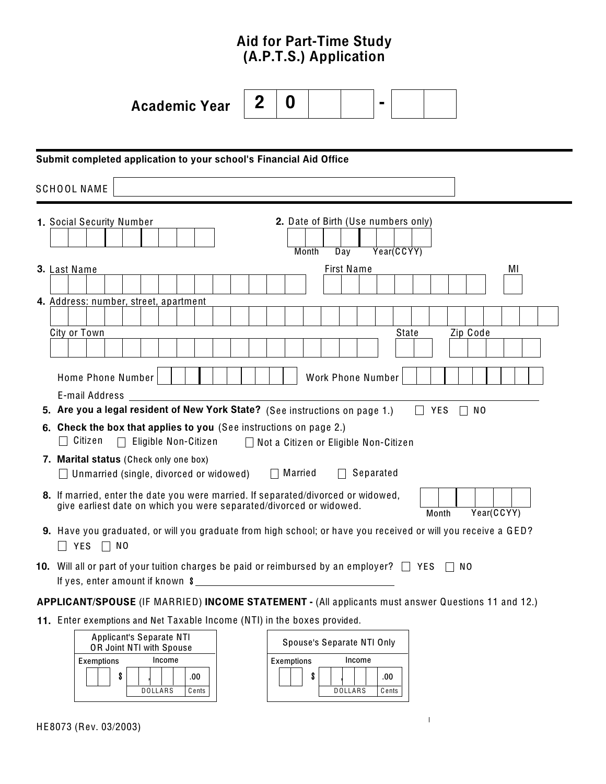# Aid for Part-Time Study (A.P.T.S.) Application

|                                                                                                    | <b>Academic Year</b>                                                                                                                                                            | 2 | 0 |  |                   |  |       |            |                |    |  |
|----------------------------------------------------------------------------------------------------|---------------------------------------------------------------------------------------------------------------------------------------------------------------------------------|---|---|--|-------------------|--|-------|------------|----------------|----|--|
|                                                                                                    |                                                                                                                                                                                 |   |   |  |                   |  |       |            |                |    |  |
|                                                                                                    | Submit completed application to your school's Financial Aid Office                                                                                                              |   |   |  |                   |  |       |            |                |    |  |
|                                                                                                    | <b>SCHOOL NAME</b>                                                                                                                                                              |   |   |  |                   |  |       |            |                |    |  |
|                                                                                                    | 1. Social Security Number<br>2. Date of Birth (Use numbers only)<br>Year(CCYY)<br>Day<br>Month                                                                                  |   |   |  |                   |  |       |            |                |    |  |
|                                                                                                    | 3. Last Name                                                                                                                                                                    |   |   |  | <b>First Name</b> |  |       |            |                | МI |  |
|                                                                                                    | 4. Address: number, street, apartment<br>City or Town                                                                                                                           |   |   |  |                   |  | State |            | Zip Code       |    |  |
|                                                                                                    |                                                                                                                                                                                 |   |   |  |                   |  |       |            |                |    |  |
|                                                                                                    | Home Phone Number<br><b>Work Phone Number</b>                                                                                                                                   |   |   |  |                   |  |       |            |                |    |  |
|                                                                                                    | E-mail Address<br>5. Are you a legal resident of New York State? (See instructions on page 1.)                                                                                  |   |   |  |                   |  |       | <b>YES</b> | N <sub>0</sub> |    |  |
|                                                                                                    | 6. Check the box that applies to you (See instructions on page 2.)<br>Citizen<br>Eligible Non-Citizen<br>Not a Citizen or Eligible Non-Citizen                                  |   |   |  |                   |  |       |            |                |    |  |
|                                                                                                    | 7. Marital status (Check only one box)<br>Separated<br>$\Box$ Married<br>$\Box$ Unmarried (single, divorced or widowed)<br>$\perp$                                              |   |   |  |                   |  |       |            |                |    |  |
|                                                                                                    | 8. If married, enter the date you were married. If separated/divorced or widowed,<br>give earliest date on which you were separated/divorced or widowed.<br>Year(CCYY)<br>Month |   |   |  |                   |  |       |            |                |    |  |
|                                                                                                    | 9. Have you graduated, or will you graduate from high school; or have you received or will you receive a GED?<br><b>YES</b><br>$\Box$ NO                                        |   |   |  |                   |  |       |            |                |    |  |
|                                                                                                    | 10. Will all or part of your tuition charges be paid or reimbursed by an employer? $\Box$ YES $\Box$<br>NO.                                                                     |   |   |  |                   |  |       |            |                |    |  |
| APPLICANT/SPOUSE (IF MARRIED) INCOME STATEMENT - (All applicants must answer Questions 11 and 12.) |                                                                                                                                                                                 |   |   |  |                   |  |       |            |                |    |  |
|                                                                                                    | 11. Enter exemptions and Net Taxable Income (NTI) in the boxes provided.                                                                                                        |   |   |  |                   |  |       |            |                |    |  |
|                                                                                                    |                                                                                                                                                                                 |   |   |  |                   |  |       |            |                |    |  |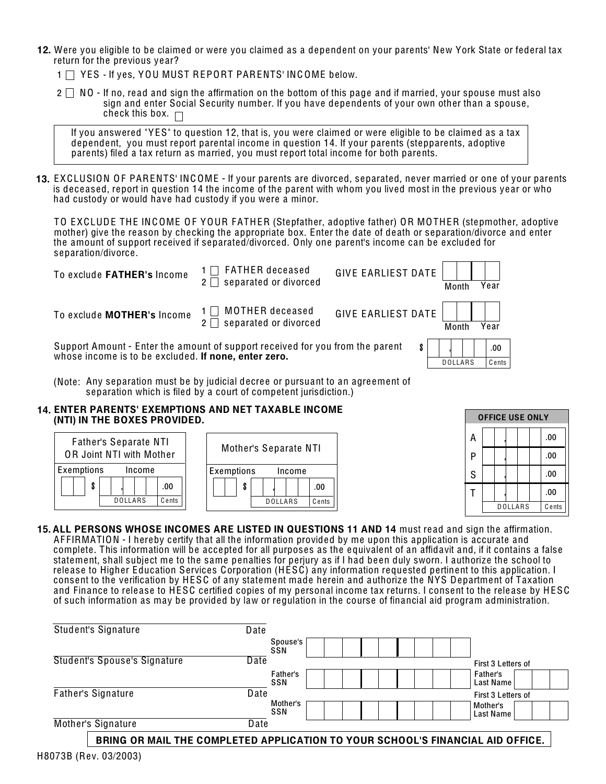- 12. Were you eligible to be claimed or were you claimed as a dependent on your parents' New York State or federal tax return for the previous ye ar?
	- 1 | YES If yes, YOU MUST REPORT PARENTS' INCOME below.
	- $2 \square$  NO If no, read and sign the affirmation on the bottom of this page and if married, your spouse must also sign and enter Social Security number. If you have dependents of your own other than a spouse, check this box.  $\Box$

If you answered "YES" to question 12, that is, you were claimed or were eligible to be claimed as a tax dependent, you must report parental income in question 14. If your parents (stepparents, adoptive parents) filed a tax return as married, you must report total income for both parents.

**13.** EXCLUSION OF PARENTS' INCOME - If your parents are divorced, separated, never married or one of your parents is dece ased, report in question 14 the income of the parent with whom you lived most in the previous ye ar or who had custody or would have had custody if you were a minor.

TO EXCLUDE THE INC OME OF YOUR FATHER (Stepfather, adoptive father) OR MOTHER (stepmother, adoptive mother) give the reason by checking the appropriate box. Enter the date of death or separation/divorce and enter the amount of support received if separated/divorced. Only one parent's income can be excluded for separation/divorce.

| To exclude FATHER's Income                                                                                                            | FATHER deceased<br>separated or divorced | <b>GIVE EARLIEST DATE</b> | Month          | Year  |
|---------------------------------------------------------------------------------------------------------------------------------------|------------------------------------------|---------------------------|----------------|-------|
| To exclude MOTHER's Income                                                                                                            | MOTHER deceased<br>separated or divorced | <b>GIVE EARLIEST DATE</b> | Month          | Year  |
| Support Amount - Enter the amount of support received for you from the parent<br>whose income is to be excluded. If none, enter zero. |                                          |                           |                | .00   |
|                                                                                                                                       |                                          |                           | <b>DOLLARS</b> | Cents |

(Note: Any separation must be by judicial decree or pursuant to an agreement of separation which is filed by a court of competent jurisdiction.)

#### 14. ENTER PARENTS' EXEMPTIONS AND NET TAXABLE INCOME<br>(NTI) IN THE ROXES PROVIDED (NTI) IN THE BOXES PROVIDED.



| <b>OFFICE USE ONLY</b> |  |         |       |  |     |  |
|------------------------|--|---------|-------|--|-----|--|
| А                      |  |         |       |  | .00 |  |
| P                      |  |         |       |  | .00 |  |
| S                      |  |         |       |  | .00 |  |
|                        |  |         |       |  | .00 |  |
|                        |  | DOLLARS | Cents |  |     |  |

15. ALL PERSONS WHOSE INCOMES ARE LISTED IN QUESTIONS 11 AND 14 must read and sign the affirmation. AF FIRMATION - I hereby certify that all the information provided by me upon this application is accurate and complete. This information will be accepted for all purposes as the equivalent of an affidavit and, if it contains a false statement, shall subject me to the same penalties for perjury as if I had been duly sworn. I authorize the school to rele ase to Higher Education Services Corporation (HESC) any information requested pertinent to this application. I consent to the verification by HESC of any statement made herein and authorize the NYS Department of Taxation and Finance to release to HESC certified copies of my personal income tax returns. I consent to the release by HESC of such information as may be provided by law or regulation in the course of financial aid program administration.

| Student's Signature<br>Date          |                                                                                |                       |
|--------------------------------------|--------------------------------------------------------------------------------|-----------------------|
|                                      | Spouse's<br>SSN                                                                |                       |
| Student's Spouse's Signature<br>Date |                                                                                | First 3 Letters of    |
|                                      | Father's<br><b>SSN</b>                                                         | Father's<br>Last Name |
| <b>Father's Signature</b><br>Date    |                                                                                | First 3 Letters of    |
|                                      | Mother's<br><b>SSN</b>                                                         | Mother's<br>Last Name |
| Mother's Signature<br>Date           |                                                                                |                       |
|                                      | BRING OR MAIL THE COMPLETED APPLICATION TO YOUR SCHOOL'S FINANCIAL AID OFFICE. |                       |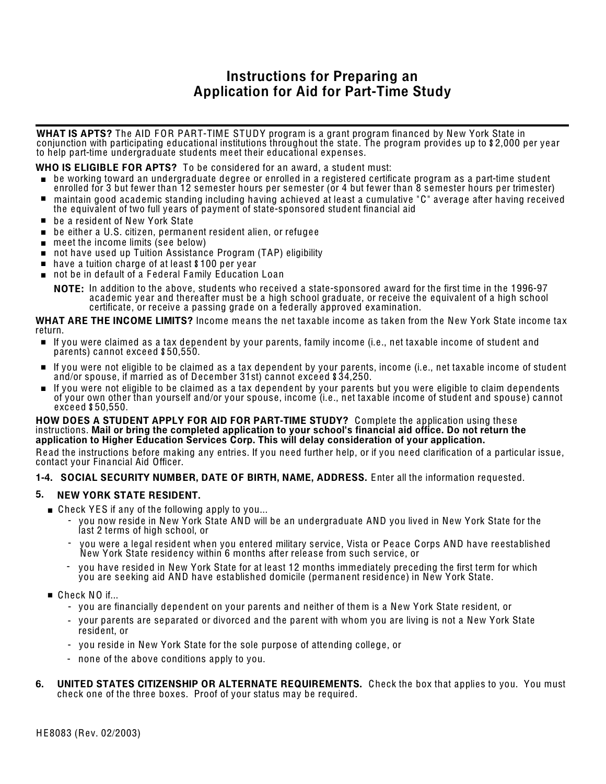# Instructions for Preparing an Application for Aid for Part-Time Study

WHAT IS APTS? The AID FOR PART-TIME STUDY program is a grant program financed by New York State in conjunction with participating educational institutions throughout the state. The program provides up to \$2,000 per ye ar to help part-time undergraduate students me et their educational expenses.

WHO IS ELIGIBLE FOR APTS? To be considered for an award, a student must:

- . be working <sup>t</sup>owar<sup>d</sup> an undergraduat<sup>e</sup> degr<sup>e</sup> <sup>e</sup> <sup>o</sup><sup>r</sup> enrolled <sup>i</sup><sup>n</sup> <sup>a</sup> <sup>r</sup>egistered certificat<sup>e</sup> <sup>p</sup>rogram as <sup>a</sup> part-time <sup>s</sup>tuden<sup>t</sup>
- maintain good academic standing including having achieved at least a cumulative "C" average after having received the equivalent of two full ye ars of payment of state-sponsored student financial aid
- be a resident of New York State
- be a resident of New York State<br>■ be either a U.S. citizen, permanent resident alien, or refugee  $\blacksquare$  be either a U.S. citizen, permanent<br>  $\blacksquare$  meet the income limits (see below)
- 
- meet the income limits (see below)<br>■ not have used up Tuition Assistance Program (TAP) eligibility<br>■ have a tuition charge of at least \$100 per year
- 
- . no<sup>t</sup> be <sup>i</sup><sup>n</sup> defaul<sup>t</sup> <sup>o</sup><sup>f</sup> <sup>a</sup> <sup>F</sup> edera<sup>l</sup> <sup>F</sup> amil<sup>y</sup> Education Loan

**NOTE:** In addition to the above, students who received a state-sponsored award for the first time in the 1996-97 academic ye ar and there after must be a high school graduate, or receive the equivalent of a high school certificate, or receive a passing grade on a federally approved examination.

#### WHAT ARE THE INCOME LIMITS? Income means the net taxable income as taken from the New York State income tax return.

- . If you wer<sup>e</sup> <sup>c</sup>laimed as <sup>a</sup> <sup>t</sup>ax dependen<sup>t</sup> by you<sup>r</sup> parents, <sup>f</sup>amil<sup>y</sup> <sup>i</sup>ncome (i.e., ne<sup>t</sup> <sup>t</sup>axabl<sup>e</sup> <sup>i</sup>ncome <sup>o</sup><sup>f</sup> <sup>s</sup>tuden<sup>t</sup> and parents) cannot exce ed \$50,550.
- . If you wer<sup>e</sup> no<sup>t</sup> <sup>e</sup>ligibl<sup>e</sup> <sup>t</sup><sup>o</sup> be <sup>c</sup>laimed as <sup>a</sup> <sup>t</sup>ax dependen<sup>t</sup> by you<sup>r</sup> parents, <sup>i</sup>ncome (i.e., ne<sup>t</sup> <sup>t</sup>axabl<sup>e</sup> <sup>i</sup>ncome <sup>o</sup><sup>f</sup> <sup>s</sup>tuden<sup>t</sup> and/or spouse, if married as of December 31st) cannot exce ed \$34,250.
- . If you wer<sup>e</sup> no<sup>t</sup> <sup>e</sup>ligibl<sup>e</sup> <sup>t</sup><sup>o</sup> be <sup>c</sup>laimed as <sup>a</sup> <sup>t</sup>ax dependen<sup>t</sup> by you<sup>r</sup> parent<sup>s</sup> bu<sup>t</sup> you wer<sup>e</sup> <sup>e</sup>ligibl<sup>e</sup> <sup>t</sup><sup>o</sup> <sup>c</sup>lai<sup>m</sup> dependent<sup>s</sup> of your own other than yourself and/or your spouse, income (i.e., net taxable income of student and spouse) cannot exce ed \$50,550.

#### HOW DOES A STUDENT APPLY FOR AID FOR PART-TIME STUDY? Complete the application using these instructions. Mail or bring the completed application to your school's financial aid office. Do not return the application to Higher Education Services Corp. This will delay consideration of your application.

Read the instructions before making any entries. If you need further help, or if you need clarification of a particular issue,<br>contact your Financial Aid Officer.

#### 1-4. SOCIAL SECURITY NUMBER, DATE OF BIRTH, NAME, ADDRESS. Enter all the information requested.

## 5. NEW YORK STATE RESIDENT.

- $\blacksquare$  Check YES if any of the following apply to you...
	- you now reside in New York State AND will be an undergraduate AND you lived in New York State for the last 2 terms of high school, or
	- you were a legal resident when you entered military service, Vista or Pe ace Corps AND have re established New York State residency within 6 months after rele ase from such service, or
	- you have resided in New York State for at le ast 12 months immediately preceding the first term for which you are se eking aid AND have established domicile (permanent residence) in New York State.
- $\blacksquare$  Check NO if...
	- you are financially dependent on your parents and neither of them is a New York State resident, or
	- your parents are separated or divorced and the parent with whom you are living is not a New York State<br>- resident, or
	- you reside in New York State for the sole purpose of attending college, or
	- none of the above conditions apply to you.
- 6. UNITED STATES CITIZENSHIP OR ALTERNATE REQUIREMENTS. Check the box that applies to you. You must check one of the three boxes. Proof of your status may be required.